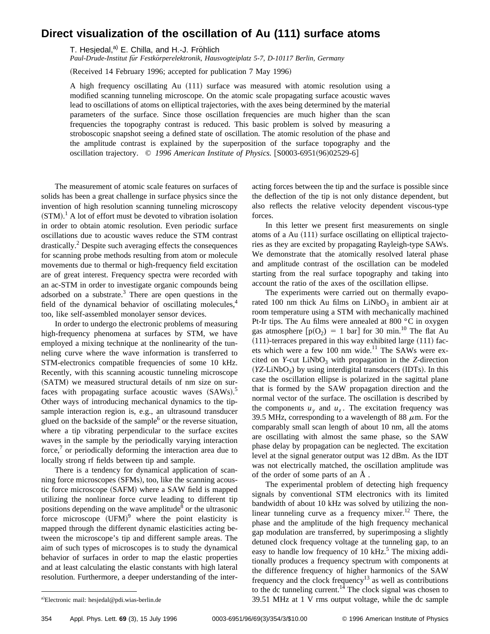## **Direct visualization of the oscillation of Au (111) surface atoms**

T. Hesjedal,<sup>a)</sup> E. Chilla, and H.-J. Fröhlich

*Paul-Drude-Institut fu¨r Festko¨rperelektronik, Hausvogteiplatz 5-7, D-10117 Berlin, Germany*

(Received 14 February 1996; accepted for publication 7 May 1996)

A high frequency oscillating Au  $(111)$  surface was measured with atomic resolution using a modified scanning tunneling microscope. On the atomic scale propagating surface acoustic waves lead to oscillations of atoms on elliptical trajectories, with the axes being determined by the material parameters of the surface. Since those oscillation frequencies are much higher than the scan frequencies the topography contrast is reduced. This basic problem is solved by measuring a stroboscopic snapshot seeing a defined state of oscillation. The atomic resolution of the phase and the amplitude contrast is explained by the superposition of the surface topography and the oscillation trajectory. © 1996 American Institute of Physics. [S0003-6951(96)02529-6]

The measurement of atomic scale features on surfaces of solids has been a great challenge in surface physics since the invention of high resolution scanning tunneling microscopy  $(STM)$ .<sup>1</sup> A lot of effort must be devoted to vibration isolation in order to obtain atomic resolution. Even periodic surface oscillations due to acoustic waves reduce the STM contrast drastically.<sup>2</sup> Despite such averaging effects the consequences for scanning probe methods resulting from atom or molecule movements due to thermal or high-frequency field excitation are of great interest. Frequency spectra were recorded with an ac-STM in order to investigate organic compounds being adsorbed on a substrate. $3$  There are open questions in the field of the dynamical behavior of oscillating molecules, $4$ too, like self-assembled monolayer sensor devices.

In order to undergo the electronic problems of measuring high-frequency phenomena at surfaces by STM, we have employed a mixing technique at the nonlinearity of the tunneling curve where the wave information is transferred to STM-electronics compatible frequencies of some 10 kHz. Recently, with this scanning acoustic tunneling microscope (SATM) we measured structural details of nm size on surfaces with propagating surface acoustic waves  $(SAWs)$ .<sup>5</sup> Other ways of introducing mechanical dynamics to the tipsample interaction region is, e.g., an ultrasound transducer glued on the backside of the sample $^6$  or the reverse situation, where a tip vibrating perpendicular to the surface excites waves in the sample by the periodically varying interaction force, $\alpha$  or periodically deforming the interaction area due to locally strong rf fields between tip and sample.

There is a tendency for dynamical application of scanning force microscopes (SFMs), too, like the scanning acoustic force microscope (SAFM) where a SAW field is mapped utilizing the nonlinear force curve leading to different tip positions depending on the wave amplitude<sup>8</sup> or the ultrasonic force microscope  $(UFM)^9$  where the point elasticity is mapped through the different dynamic elasticities acting between the microscope's tip and different sample areas. The aim of such types of microscopes is to study the dynamical behavior of surfaces in order to map the elastic properties and at least calculating the elastic constants with high lateral resolution. Furthermore, a deeper understanding of the interacting forces between the tip and the surface is possible since the deflection of the tip is not only distance dependent, but also reflects the relative velocity dependent viscous-type forces.

In this letter we present first measurements on single atoms of a Au  $(111)$  surface oscillating on elliptical trajectories as they are excited by propagating Rayleigh-type SAWs. We demonstrate that the atomically resolved lateral phase and amplitude contrast of the oscillation can be modeled starting from the real surface topography and taking into account the ratio of the axes of the oscillation ellipse.

The experiments were carried out on thermally evaporated 100 nm thick Au films on  $LiNbO<sub>3</sub>$  in ambient air at room temperature using a STM with mechanically machined Pt-Ir tips. The Au films were annealed at 800 °C in oxygen gas atmosphere  $[p(O_2) = 1 \text{ bar}]$  for 30 min.<sup>10</sup> The flat Au  $(111)$ -terraces prepared in this way exhibited large  $(111)$  facets which were a few 100 nm wide. $^{11}$  The SAWs were excited on *Y*-cut  $LiNbO<sub>3</sub>$  with propagation in the *Z*-direction  $(YZ-LiNbO<sub>3</sub>)$  by using interdigital transducers  $(IDTs)$ . In this case the oscillation ellipse is polarized in the sagittal plane that is formed by the SAW propagation direction and the normal vector of the surface. The oscillation is described by the components  $u_y$  and  $u_z$ . The excitation frequency was 39.5 MHz, corresponding to a wavelength of 88  $\mu$ m. For the comparably small scan length of about 10 nm, all the atoms are oscillating with almost the same phase, so the SAW phase delay by propagation can be neglected. The excitation level at the signal generator output was 12 dBm. As the IDT was not electrically matched, the oscillation amplitude was of the order of some parts of an Å .

The experimental problem of detecting high frequency signals by conventional STM electronics with its limited bandwidth of about 10 kHz was solved by utilizing the nonlinear tunneling curve as a frequency mixer.<sup>12</sup> There, the phase and the amplitude of the high frequency mechanical gap modulation are transferred, by superimposing a slightly detuned clock frequency voltage at the tunneling gap, to an easy to handle low frequency of 10  $kHz$ <sup>5</sup>. The mixing additionally produces a frequency spectrum with components at the difference frequency of higher harmonics of the SAW frequency and the clock frequency<sup>13</sup> as well as contributions to the dc tunneling current.<sup>14</sup> The clock signal was chosen to  $39.51$  MHz at 1 V rms output voltage, while the dc sample

Electronic mail: hesjedal@pdi.wias-berlin.de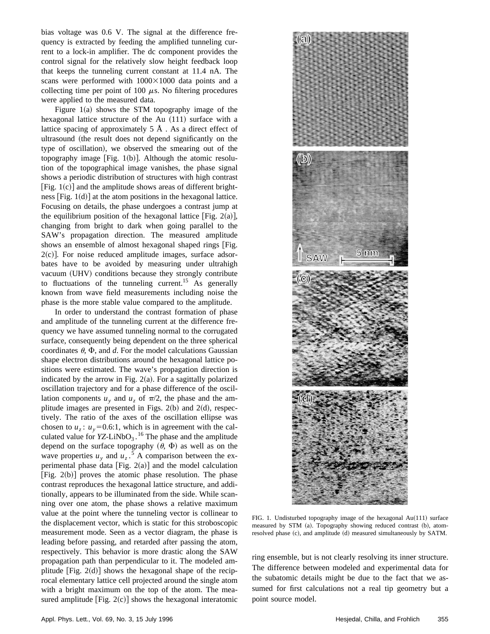bias voltage was 0.6 V. The signal at the difference frequency is extracted by feeding the amplified tunneling current to a lock-in amplifier. The dc component provides the control signal for the relatively slow height feedback loop that keeps the tunneling current constant at 11.4 nA. The scans were performed with  $1000\times1000$  data points and a collecting time per point of 100  $\mu$ s. No filtering procedures were applied to the measured data.

Figure  $1(a)$  shows the STM topography image of the hexagonal lattice structure of the Au  $(111)$  surface with a lattice spacing of approximately  $5 \text{ Å}$ . As a direct effect of ultrasound (the result does not depend significantly on the type of oscillation), we observed the smearing out of the topography image [Fig. 1(b)]. Although the atomic resolution of the topographical image vanishes, the phase signal shows a periodic distribution of structures with high contrast [Fig.  $1(c)$ ] and the amplitude shows areas of different brightness  $[Fig. 1(d)]$  at the atom positions in the hexagonal lattice. Focusing on details, the phase undergoes a contrast jump at the equilibrium position of the hexagonal lattice [Fig. 2(a)], changing from bright to dark when going parallel to the SAW's propagation direction. The measured amplitude shows an ensemble of almost hexagonal shaped rings [Fig.  $2(c)$ ]. For noise reduced amplitude images, surface adsorbates have to be avoided by measuring under ultrahigh vacuum (UHV) conditions because they strongly contribute to fluctuations of the tunneling current.<sup>15</sup> As generally known from wave field measurements including noise the phase is the more stable value compared to the amplitude.

In order to understand the contrast formation of phase and amplitude of the tunneling current at the difference frequency we have assumed tunneling normal to the corrugated surface, consequently being dependent on the three spherical coordinates  $\theta$ ,  $\Phi$ , and *d*. For the model calculations Gaussian shape electron distributions around the hexagonal lattice positions were estimated. The wave's propagation direction is indicated by the arrow in Fig.  $2(a)$ . For a sagittally polarized oscillation trajectory and for a phase difference of the oscillation components  $u_y$  and  $u_z$  of  $\pi/2$ , the phase and the amplitude images are presented in Figs.  $2(b)$  and  $2(d)$ , respectively. The ratio of the axes of the oscillation ellipse was chosen to  $u_z$ :  $u_y$ =0.6:1, which is in agreement with the calculated value for  $YZ$ -LiNbO<sub>3</sub>.<sup>16</sup> The phase and the amplitude depend on the surface topography  $(\theta, \Phi)$  as well as on the wave properties  $u_y$  and  $u_z$ .<sup>5</sup> A comparison between the experimental phase data [Fig.  $2(a)$ ] and the model calculation [Fig.  $2(b)$ ] proves the atomic phase resolution. The phase contrast reproduces the hexagonal lattice structure, and additionally, appears to be illuminated from the side. While scanning over one atom, the phase shows a relative maximum value at the point where the tunneling vector is collinear to the displacement vector, which is static for this stroboscopic measurement mode. Seen as a vector diagram, the phase is leading before passing, and retarded after passing the atom, respectively. This behavior is more drastic along the SAW propagation path than perpendicular to it. The modeled amplitude  $[Fig. 2(d)]$  shows the hexagonal shape of the reciprocal elementary lattice cell projected around the single atom with a bright maximum on the top of the atom. The measured amplitude  $[Fig. 2(c)]$  shows the hexagonal interatomic



FIG. 1. Undisturbed topography image of the hexagonal  $Au(111)$  surface measured by STM (a). Topography showing reduced contrast (b), atomresolved phase (c), and amplitude (d) measured simultaneously by SATM.

ring ensemble, but is not clearly resolving its inner structure. The difference between modeled and experimental data for the subatomic details might be due to the fact that we assumed for first calculations not a real tip geometry but a point source model.